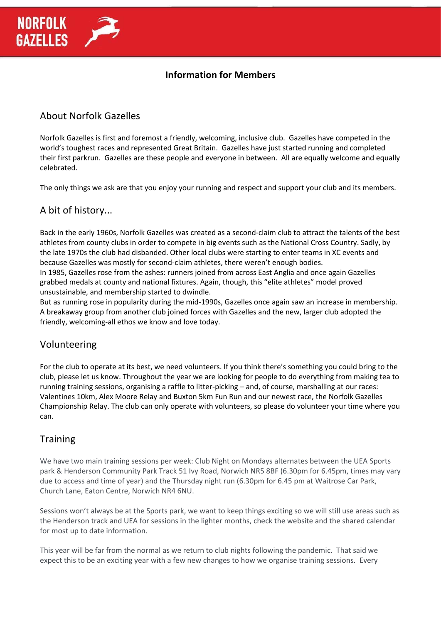# About Norfolk Gazelles

**NORFOLK** 

**GAZELLES** 

Norfolk Gazelles is first and foremost a friendly, welcoming, inclusive club. Gazelles have competed in the world's toughest races and represented Great Britain. Gazelles have just started running and completed their first parkrun. Gazelles are these people and everyone in between. All are equally welcome and equally celebrated.

The only things we ask are that you enjoy your running and respect and support your club and its members.

## A bit of history...

Back in the early 1960s, Norfolk Gazelles was created as a second-claim club to attract the talents of the best athletes from county clubs in order to compete in big events such as the National Cross Country. Sadly, by the late 1970s the club had disbanded. Other local clubs were starting to enter teams in XC events and because Gazelles was mostly for second-claim athletes, there weren't enough bodies. In 1985, Gazelles rose from the ashes: runners joined from across East Anglia and once again Gazelles grabbed medals at county and national fixtures. Again, though, this "elite athletes" model proved unsustainable, and membership started to dwindle.

But as running rose in popularity during the mid-1990s, Gazelles once again saw an increase in membership. A breakaway group from another club joined forces with Gazelles and the new, larger club adopted the friendly, welcoming-all ethos we know and love today.

## Volunteering

For the club to operate at its best, we need volunteers. If you think there's something you could bring to the club, please let us know. Throughout the year we are looking for people to do everything from making tea to running training sessions, organising a raffle to litter-picking – and, of course, marshalling at our races: Valentines 10km, Alex Moore Relay and Buxton 5km Fun Run and our newest race, the Norfolk Gazelles Championship Relay. The club can only operate with volunteers, so please do volunteer your time where you can.

## **Training**

We have two main training sessions per week: Club Night on Mondays alternates between the UEA Sports park & Henderson Community Park Track 51 Ivy Road, Norwich NR5 8BF (6.30pm for 6.45pm, times may vary due to access and time of year) and the Thursday night run (6.30pm for 6.45 pm at Waitrose Car Park, Church Lane, Eaton Centre, Norwich NR4 6NU.

Sessions won't always be at the Sports park, we want to keep things exciting so we will still use areas such as the Henderson track and UEA for sessions in the lighter months, check the website and the shared calendar for most up to date information.

This year will be far from the normal as we return to club nights following the pandemic. That said we expect this to be an exciting year with a few new changes to how we organise training sessions. Every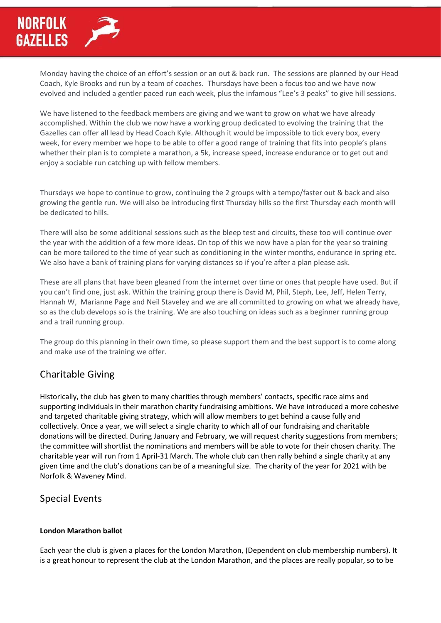Monday having the choice of an effort's session or an out & back run. The sessions are planned by our Head Coach, Kyle Brooks and run by a team of coaches. Thursdays have been a focus too and we have now evolved and included a gentler paced run each week, plus the infamous "Lee's 3 peaks" to give hill sessions.

We have listened to the feedback members are giving and we want to grow on what we have already accomplished. Within the club we now have a working group dedicated to evolving the training that the Gazelles can offer all lead by Head Coach Kyle. Although it would be impossible to tick every box, every week, for every member we hope to be able to offer a good range of training that fits into people's plans whether their plan is to complete a marathon, a 5k, increase speed, increase endurance or to get out and enjoy a sociable run catching up with fellow members.

Thursdays we hope to continue to grow, continuing the 2 groups with a tempo/faster out & back and also growing the gentle run. We will also be introducing first Thursday hills so the first Thursday each month will be dedicated to hills.

There will also be some additional sessions such as the bleep test and circuits, these too will continue over the year with the addition of a few more ideas. On top of this we now have a plan for the year so training can be more tailored to the time of year such as conditioning in the winter months, endurance in spring etc. We also have a bank of training plans for varying distances so if you're after a plan please ask.

These are all plans that have been gleaned from the internet over time or ones that people have used. But if you can't find one, just ask. Within the training group there is David M, Phil, Steph, Lee, Jeff, Helen Terry, Hannah W, Marianne Page and Neil Staveley and we are all committed to growing on what we already have, so as the club develops so is the training. We are also touching on ideas such as a beginner running group and a trail running group.

The group do this planning in their own time, so please support them and the best support is to come along and make use of the training we offer.

# Charitable Giving

Historically, the club has given to many charities through members' contacts, specific race aims and supporting individuals in their marathon charity fundraising ambitions. We have introduced a more cohesive and targeted charitable giving strategy, which will allow members to get behind a cause fully and collectively. Once a year, we will select a single charity to which all of our fundraising and charitable donations will be directed. During January and February, we will request charity suggestions from members; the committee will shortlist the nominations and members will be able to vote for their chosen charity. The charitable year will run from 1 April-31 March. The whole club can then rally behind a single charity at any given time and the club's donations can be of a meaningful size. The charity of the year for 2021 with be Norfolk & Waveney Mind.

## Special Events

### **London Marathon ballot**

Each year the club is given a places for the London Marathon, (Dependent on club membership numbers). It is a great honour to represent the club at the London Marathon, and the places are really popular, so to be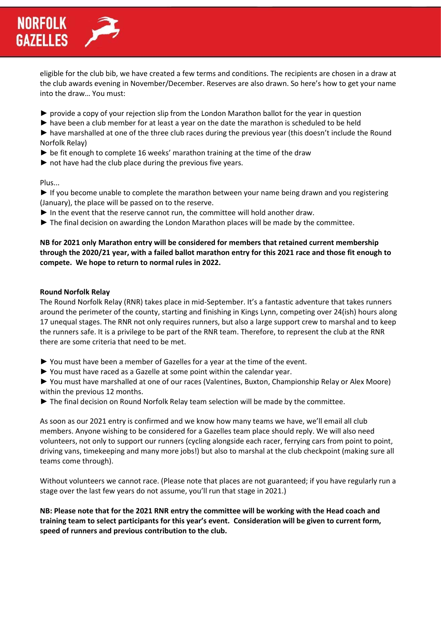eligible for the club bib, we have created a few terms and conditions. The recipients are chosen in a draw at the club awards evening in November/December. Reserves are also drawn. So here's how to get your name into the draw… You must:

- ► provide a copy of your rejection slip from the London Marathon ballot for the year in question
- ► have been a club member for at least a year on the date the marathon is scheduled to be held

► have marshalled at one of the three club races during the previous year (this doesn't include the Round Norfolk Relay)

- $\triangleright$  be fit enough to complete 16 weeks' marathon training at the time of the draw
- $\blacktriangleright$  not have had the club place during the previous five years.

#### Plus...

► If you become unable to complete the marathon between your name being drawn and you registering (January), the place will be passed on to the reserve.

- ► In the event that the reserve cannot run, the committee will hold another draw.
- ► The final decision on awarding the London Marathon places will be made by the committee.

#### **NB for 2021 only Marathon entry will be considered for members that retained current membership through the 2020/21 year, with a failed ballot marathon entry for this 2021 race and those fit enough to compete. We hope to return to normal rules in 2022.**

#### **Round Norfolk Relay**

The Round Norfolk Relay (RNR) takes place in mid-September. It's a fantastic adventure that takes runners around the perimeter of the county, starting and finishing in Kings Lynn, competing over 24(ish) hours along 17 unequal stages. The RNR not only requires runners, but also a large support crew to marshal and to keep the runners safe. It is a privilege to be part of the RNR team. Therefore, to represent the club at the RNR there are some criteria that need to be met.

- ► You must have been a member of Gazelles for a year at the time of the event.
- ► You must have raced as a Gazelle at some point within the calendar year.

► You must have marshalled at one of our races (Valentines, Buxton, Championship Relay or Alex Moore) within the previous 12 months.

► The final decision on Round Norfolk Relay team selection will be made by the committee.

As soon as our 2021 entry is confirmed and we know how many teams we have, we'll email all club members. Anyone wishing to be considered for a Gazelles team place should reply. We will also need volunteers, not only to support our runners (cycling alongside each racer, ferrying cars from point to point, driving vans, timekeeping and many more jobs!) but also to marshal at the club checkpoint (making sure all teams come through).

Without volunteers we cannot race. (Please note that places are not guaranteed; if you have regularly run a stage over the last few years do not assume, you'll run that stage in 2021.)

**NB: Please note that for the 2021 RNR entry the committee will be working with the Head coach and training team to select participants for this year's event. Consideration will be given to current form, speed of runners and previous contribution to the club.**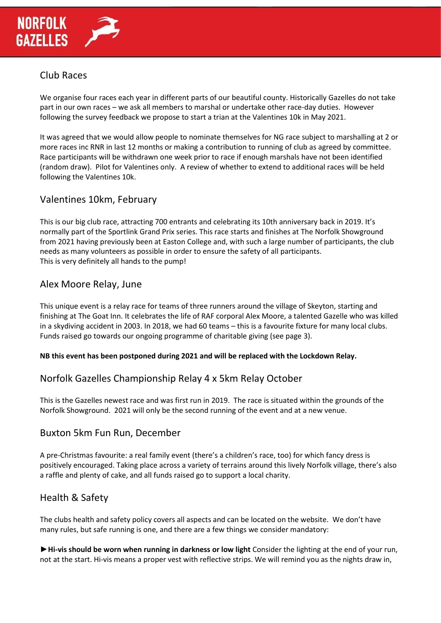

# Club Races

We organise four races each year in different parts of our beautiful county. Historically Gazelles do not take part in our own races – we ask all members to marshal or undertake other race-day duties. However following the survey feedback we propose to start a trian at the Valentines 10k in May 2021.

It was agreed that we would allow people to nominate themselves for NG race subject to marshalling at 2 or more races inc RNR in last 12 months or making a contribution to running of club as agreed by committee. Race participants will be withdrawn one week prior to race if enough marshals have not been identified (random draw). Pilot for Valentines only. A review of whether to extend to additional races will be held following the Valentines 10k.

## Valentines 10km, February

This is our big club race, attracting 700 entrants and celebrating its 10th anniversary back in 2019. It's normally part of the Sportlink Grand Prix series. This race starts and finishes at The Norfolk Showground from 2021 having previously been at Easton College and, with such a large number of participants, the club needs as many volunteers as possible in order to ensure the safety of all participants. This is very definitely all hands to the pump!

## Alex Moore Relay, June

This unique event is a relay race for teams of three runners around the village of Skeyton, starting and finishing at The Goat Inn. It celebrates the life of RAF corporal Alex Moore, a talented Gazelle who was killed in a skydiving accident in 2003. In 2018, we had 60 teams – this is a favourite fixture for many local clubs. Funds raised go towards our ongoing programme of charitable giving (see page 3).

### **NB this event has been postponed during 2021 and will be replaced with the Lockdown Relay.**

## Norfolk Gazelles Championship Relay 4 x 5km Relay October

This is the Gazelles newest race and was first run in 2019. The race is situated within the grounds of the Norfolk Showground. 2021 will only be the second running of the event and at a new venue.

## Buxton 5km Fun Run, December

A pre-Christmas favourite: a real family event (there's a children's race, too) for which fancy dress is positively encouraged. Taking place across a variety of terrains around this lively Norfolk village, there's also a raffle and plenty of cake, and all funds raised go to support a local charity.

## Health & Safety

The clubs health and safety policy covers all aspects and can be located on the website. We don't have many rules, but safe running is one, and there are a few things we consider mandatory:

►**Hi-vis should be worn when running in darkness or low light** Consider the lighting at the end of your run, not at the start. Hi-vis means a proper vest with reflective strips. We will remind you as the nights draw in,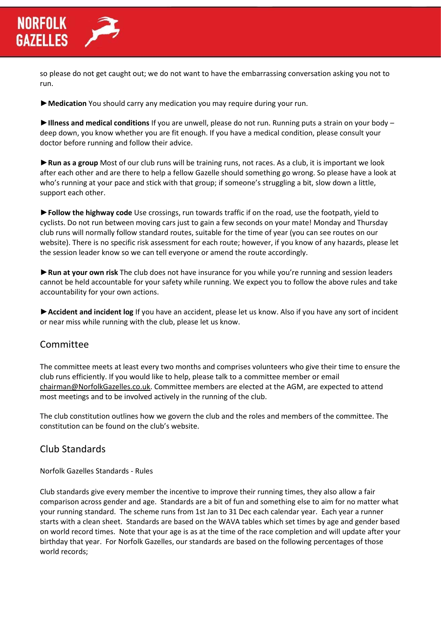so please do not get caught out; we do not want to have the embarrassing conversation asking you not to run.

►**Medication** You should carry any medication you may require during your run.

►**Illness and medical conditions** If you are unwell, please do not run. Running puts a strain on your body – deep down, you know whether you are fit enough. If you have a medical condition, please consult your doctor before running and follow their advice.

►**Run as a group** Most of our club runs will be training runs, not races. As a club, it is important we look after each other and are there to help a fellow Gazelle should something go wrong. So please have a look at who's running at your pace and stick with that group; if someone's struggling a bit, slow down a little, support each other.

►**Follow the highway code** Use crossings, run towards traffic if on the road, use the footpath, yield to cyclists. Do not run between moving cars just to gain a few seconds on your mate! Monday and Thursday club runs will normally follow standard routes, suitable for the time of year (you can see routes on our website). There is no specific risk assessment for each route; however, if you know of any hazards, please let the session leader know so we can tell everyone or amend the route accordingly.

►**Run at your own risk** The club does not have insurance for you while you're running and session leaders cannot be held accountable for your safety while running. We expect you to follow the above rules and take accountability for your own actions.

►**Accident and incident log** If you have an accident, please let us know. Also if you have any sort of incident or near miss while running with the club, please let us know.

## Committee

The committee meets at least every two months and comprises volunteers who give their time to ensure the club runs efficiently. If you would like to help, please talk to a committee member or email [chairman@NorfolkGazelles.co.uk.](mailto:chairman@norfolkGazelles.co.uk) Committee members are elected at the AGM, are expected to attend most meetings and to be involved actively in the running of the club.

The club constitution outlines how we govern the club and the roles and members of the committee. The constitution can be found on the club's website.

## Club Standards

Norfolk Gazelles Standards - Rules

Club standards give every member the incentive to improve their running times, they also allow a fair comparison across gender and age. Standards are a bit of fun and something else to aim for no matter what your running standard. The scheme runs from 1st Jan to 31 Dec each calendar year. Each year a runner starts with a clean sheet. Standards are based on the WAVA tables which set times by age and gender based on world record times. Note that your age is as at the time of the race completion and will update after your birthday that year. For Norfolk Gazelles, our standards are based on the following percentages of those world records;